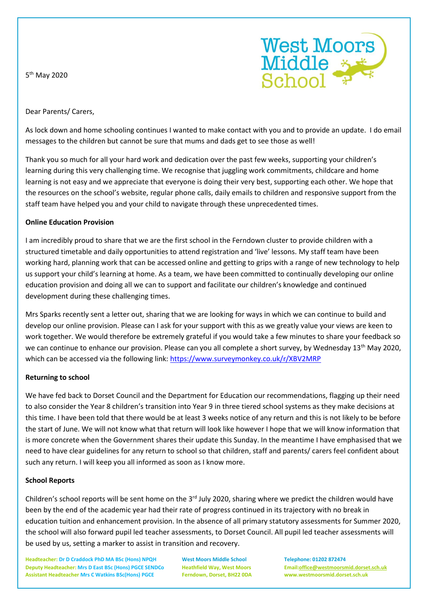5<sup>th</sup> May 2020



Dear Parents/ Carers,

As lock down and home schooling continues I wanted to make contact with you and to provide an update. I do email messages to the children but cannot be sure that mums and dads get to see those as well!

Thank you so much for all your hard work and dedication over the past few weeks, supporting your children's learning during this very challenging time. We recognise that juggling work commitments, childcare and home learning is not easy and we appreciate that everyone is doing their very best, supporting each other. We hope that the resources on the school's website, regular phone calls, daily emails to children and responsive support from the staff team have helped you and your child to navigate through these unprecedented times.

## **Online Education Provision**

I am incredibly proud to share that we are the first school in the Ferndown cluster to provide children with a structured timetable and daily opportunities to attend registration and 'live' lessons. My staff team have been working hard, planning work that can be accessed online and getting to grips with a range of new technology to help us support your child's learning at home. As a team, we have been committed to continually developing our online education provision and doing all we can to support and facilitate our children's knowledge and continued development during these challenging times.

Mrs Sparks recently sent a letter out, sharing that we are looking for ways in which we can continue to build and develop our online provision. Please can I ask for your support with this as we greatly value your views are keen to work together. We would therefore be extremely grateful if you would take a few minutes to share your feedback so we can continue to enhance our provision. Please can you all complete a short survey, by Wednesday 13<sup>th</sup> May 2020, which can be accessed via the following link[: https://www.surveymonkey.co.uk/r/XBV2MRP](https://www.surveymonkey.co.uk/r/XBV2MRP)

## **Returning to school**

We have fed back to Dorset Council and the Department for Education our recommendations, flagging up their need to also consider the Year 8 children's transition into Year 9 in three tiered school systems as they make decisions at this time. I have been told that there would be at least 3 weeks notice of any return and this is not likely to be before the start of June. We will not know what that return will look like however I hope that we will know information that is more concrete when the Government shares their update this Sunday. In the meantime I have emphasised that we need to have clear guidelines for any return to school so that children, staff and parents/ carers feel confident about such any return. I will keep you all informed as soon as I know more.

## **School Reports**

Children's school reports will be sent home on the  $3^{rd}$  July 2020, sharing where we predict the children would have been by the end of the academic year had their rate of progress continued in its trajectory with no break in education tuition and enhancement provision. In the absence of all primary statutory assessments for Summer 2020, the school will also forward pupil led teacher assessments, to Dorset Council. All pupil led teacher assessments will be used by us, setting a marker to assist in transition and recovery.

**Headteacher: Dr D Craddock PhD MA BSc (Hons) NPQH West Moors Middle School Telephone: 01202 872474 Deputy Headteacher: Mrs D East BSc (Hons) PGCE SENDCo Heathfield Way, West Moors Email[:office@westmoorsmid.dorset.sch.uk](mailto:office@westmoorsmid.dorset.sch.uk) Assistant Headteacher Mrs C Watkins BSc(Hons) PGCE Ferndown, Dorset, BH22 0DA www.westmoorsmid.dorset.sch.uk**